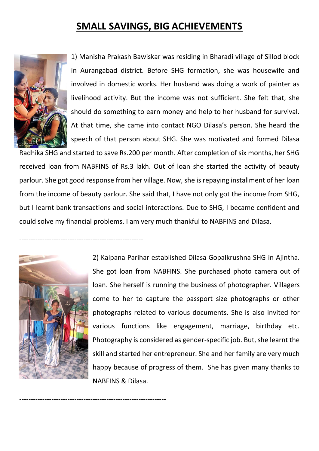## **SMALL SAVINGS, BIG ACHIEVEMENTS**



1) Manisha Prakash Bawiskar was residing in Bharadi village of Sillod block in Aurangabad district. Before SHG formation, she was housewife and involved in domestic works. Her husband was doing a work of painter as livelihood activity. But the income was not sufficient. She felt that, she should do something to earn money and help to her husband for survival. At that time, she came into contact NGO Dilasa's person. She heard the speech of that person about SHG. She was motivated and formed Dilasa

Radhika SHG and started to save Rs.200 per month. After completion of six months, her SHG received loan from NABFINS of Rs.3 lakh. Out of loan she started the activity of beauty parlour. She got good response from her village. Now, she is repaying installment of her loan from the income of beauty parlour. She said that, I have not only got the income from SHG, but I learnt bank transactions and social interactions. Due to SHG, I became confident and could solve my financial problems. I am very much thankful to NABFINS and Dilasa.



------------------------------------------------------

----------------------------------------------------------------

2) Kalpana Parihar established Dilasa Gopalkrushna SHG in Ajintha. She got loan from NABFINS. She purchased photo camera out of loan. She herself is running the business of photographer. Villagers come to her to capture the passport size photographs or other photographs related to various documents. She is also invited for various functions like engagement, marriage, birthday etc. Photography is considered as gender-specific job. But, she learnt the skill and started her entrepreneur. She and her family are very much happy because of progress of them. She has given many thanks to NABFINS & Dilasa.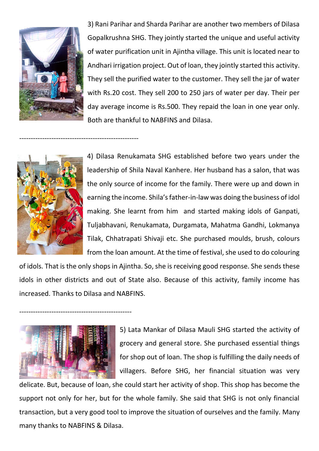

3) Rani Parihar and Sharda Parihar are another two members of Dilasa Gopalkrushna SHG. They jointly started the unique and useful activity of water purification unit in Ajintha village. This unit is located near to Andhari irrigation project. Out of loan, they jointly started this activity. They sell the purified water to the customer. They sell the jar of water with Rs.20 cost. They sell 200 to 250 jars of water per day. Their per day average income is Rs.500. They repaid the loan in one year only. Both are thankful to NABFINS and Dilasa.



----------------------------------------------------

4) Dilasa Renukamata SHG established before two years under the leadership of Shila Naval Kanhere. Her husband has a salon, that was the only source of income for the family. There were up and down in earning the income. Shila's father-in-law was doing the business of idol making. She learnt from him and started making idols of Ganpati, Tuljabhavani, Renukamata, Durgamata, Mahatma Gandhi, Lokmanya Tilak, Chhatrapati Shivaji etc. She purchased moulds, brush, colours from the loan amount. At the time of festival, she used to do colouring

of idols. That is the only shops in Ajintha. So, she is receiving good response. She sends these idols in other districts and out of State also. Because of this activity, family income has increased. Thanks to Dilasa and NABFINS.



-------------------------------------------------

5) Lata Mankar of Dilasa Mauli SHG started the activity of grocery and general store. She purchased essential things for shop out of loan. The shop is fulfilling the daily needs of villagers. Before SHG, her financial situation was very

delicate. But, because of loan, she could start her activity of shop. This shop has become the support not only for her, but for the whole family. She said that SHG is not only financial transaction, but a very good tool to improve the situation of ourselves and the family. Many many thanks to NABFINS & Dilasa.